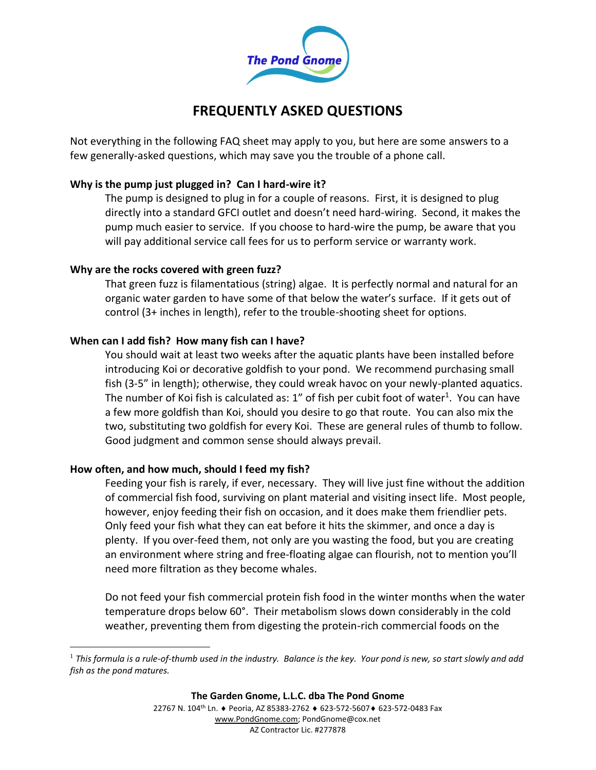

# **FREQUENTLY ASKED QUESTIONS**

Not everything in the following FAQ sheet may apply to you, but here are some answers to a few generally-asked questions, which may save you the trouble of a phone call.

# **Why is the pump just plugged in? Can I hard-wire it?**

The pump is designed to plug in for a couple of reasons. First, it is designed to plug directly into a standard GFCI outlet and doesn't need hard-wiring. Second, it makes the pump much easier to service. If you choose to hard-wire the pump, be aware that you will pay additional service call fees for us to perform service or warranty work.

# **Why are the rocks covered with green fuzz?**

That green fuzz is filamentatious (string) algae. It is perfectly normal and natural for an organic water garden to have some of that below the water's surface. If it gets out of control (3+ inches in length), refer to the trouble-shooting sheet for options.

# **When can I add fish? How many fish can I have?**

You should wait at least two weeks after the aquatic plants have been installed before introducing Koi or decorative goldfish to your pond. We recommend purchasing small fish (3-5" in length); otherwise, they could wreak havoc on your newly-planted aquatics. The number of Koi fish is calculated as: 1" of fish per cubit foot of water<sup>1</sup>. You can have a few more goldfish than Koi, should you desire to go that route. You can also mix the two, substituting two goldfish for every Koi. These are general rules of thumb to follow. Good judgment and common sense should always prevail.

# **How often, and how much, should I feed my fish?**

 $\overline{a}$ 

Feeding your fish is rarely, if ever, necessary. They will live just fine without the addition of commercial fish food, surviving on plant material and visiting insect life. Most people, however, enjoy feeding their fish on occasion, and it does make them friendlier pets. Only feed your fish what they can eat before it hits the skimmer, and once a day is plenty. If you over-feed them, not only are you wasting the food, but you are creating an environment where string and free-floating algae can flourish, not to mention you'll need more filtration as they become whales.

Do not feed your fish commercial protein fish food in the winter months when the water temperature drops below 60°. Their metabolism slows down considerably in the cold weather, preventing them from digesting the protein-rich commercial foods on the

<sup>1</sup> *This formula is a rule-of-thumb used in the industry. Balance is the key. Your pond is new, so start slowly and add fish as the pond matures.*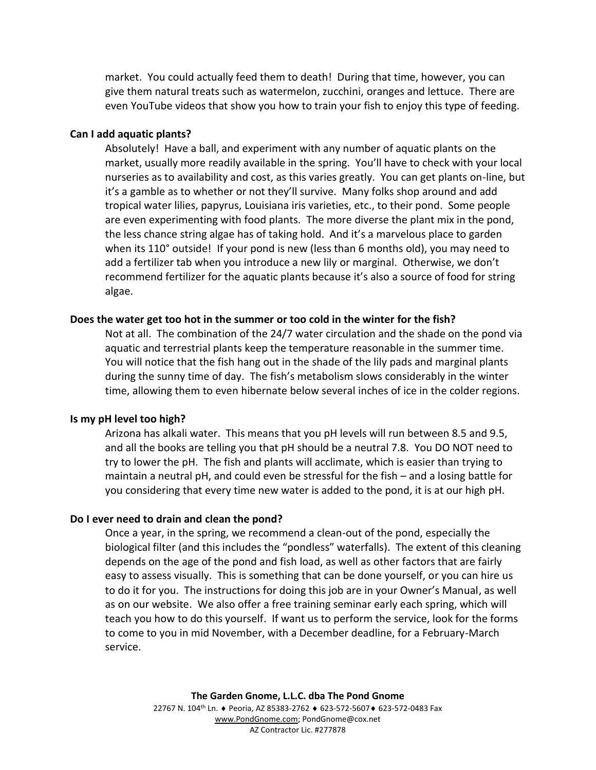market. You could actually feed them to death! During that time, however, you can give them natural treats such as watermelon, zucchini, oranges and lettuce. There are even YouTube videos that show you how to train your fish to enjoy this type of feeding.

## **Can I add aquatic plants?**

Absolutely! Have a ball, and experiment with any number of aquatic plants on the market, usually more readily available in the spring. You'll have to check with your local nurseries as to availability and cost, as this varies greatly. You can get plants on-line, but it's a gamble as to whether or not they'll survive. Many folks shop around and add tropical water lilies, papyrus, Louisiana iris varieties, etc., to their pond. Some people are even experimenting with food plants. The more diverse the plant mix in the pond, the less chance string algae has of taking hold. And it's a marvelous place to garden when its 110° outside! If your pond is new (less than 6 months old), you may need to add a fertilizer tab when you introduce a new lily or marginal. Otherwise, we don't recommend fertilizer for the aquatic plants because it's also a source of food for string algae.

#### **Does the water get too hot in the summer or too cold in the winter for the fish?**

Not at all. The combination of the 24/7 water circulation and the shade on the pond via aquatic and terrestrial plants keep the temperature reasonable in the summer time. You will notice that the fish hang out in the shade of the lily pads and marginal plants during the sunny time of day. The fish's metabolism slows considerably in the winter time, allowing them to even hibernate below several inches of ice in the colder regions.

#### **Is my pH level too high?**

Arizona has alkali water. This means that you pH levels will run between 8.5 and 9.5, and all the books are telling you that pH should be a neutral 7.8. You DO NOT need to try to lower the pH. The fish and plants will acclimate, which is easier than trying to maintain a neutral pH, and could even be stressful for the fish – and a losing battle for you considering that every time new water is added to the pond, it is at our high pH.

#### **Do I ever need to drain and clean the pond?**

Once a year, in the spring, we recommend a clean-out of the pond, especially the biological filter (and this includes the "pondless" waterfalls). The extent of this cleaning depends on the age of the pond and fish load, as well as other factors that are fairly easy to assess visually. This is something that can be done yourself, or you can hire us to do it for you. The instructions for doing this job are in your Owner's Manual, as well as on our website. We also offer a free training seminar early each spring, which will teach you how to do this yourself. If want us to perform the service, look for the forms to come to you in mid November, with a December deadline, for a February-March service.